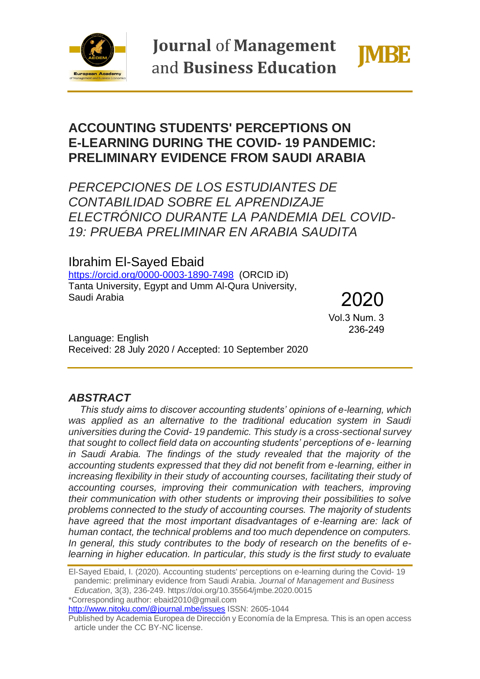



# **ACCOUNTING STUDENTS' PERCEPTIONS ON E-LEARNING DURING THE COVID- 19 PANDEMIC: PRELIMINARY EVIDENCE FROM SAUDI ARABIA**

*PERCEPCIONES DE LOS ESTUDIANTES DE CONTABILIDAD SOBRE EL APRENDIZAJE ELECTRÓNICO DURANTE LA PANDEMIA DEL COVID-19: PRUEBA PRELIMINAR EN ARABIA SAUDITA*

## Ibrahim El-Sayed Ebaid

<https://orcid.org/0000-0003-1890-7498> (ORCID iD) Tanta University, Egypt and Umm Al-Qura University, Saudi Arabia

2020 Vol.3 Num. 3 236-249

Language: English Received: 28 July 2020 / Accepted: 10 September 2020

### *ABSTRACT*

*This study aims to discover accounting students' opinions of e-learning, which was applied as an alternative to the traditional education system in Saudi universities during the Covid- 19 pandemic. This study is a cross-sectional survey that sought to collect field data on accounting students' perceptions of e- learning in Saudi Arabia. The findings of the study revealed that the majority of the accounting students expressed that they did not benefit from e-learning, either in increasing flexibility in their study of accounting courses, facilitating their study of accounting courses, improving their communication with teachers, improving their communication with other students or improving their possibilities to solve problems connected to the study of accounting courses. The majority of students*  have agreed that the most important disadvantages of e-learning are: lack of *human contact, the technical problems and too much dependence on computers. In general, this study contributes to the body of research on the benefits of elearning in higher education. In particular, this study is the first study to evaluate* 

\*Corresponding author: ebaid2010@gmail.com

<http://www.nitoku.com/@journal.mbe/issues> ISSN: 2605-1044

El‐Sayed Ebaid, I. (2020). Accounting students' perceptions on e-learning during the Covid- 19 pandemic: preliminary evidence from Saudi Arabia. *Journal of Management and Business Education*, 3(3), 236-249. https://doi.org/10.35564/jmbe.2020.0015

Published by Academia Europea de Dirección y Economía de la Empresa. This is an open access article under the CC BY-NC license.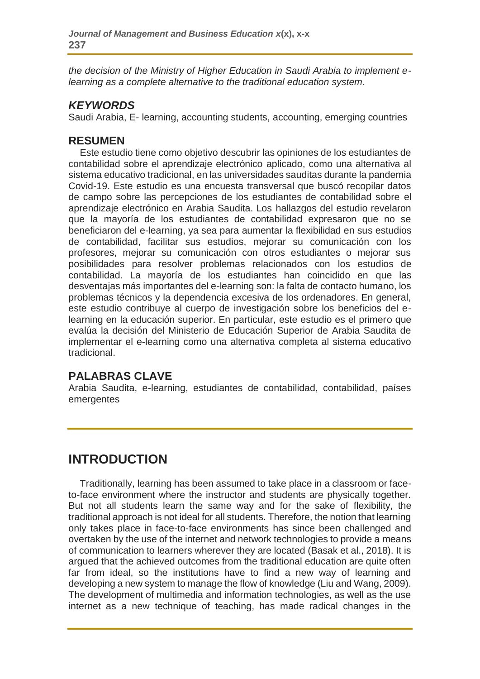*the decision of the Ministry of Higher Education in Saudi Arabia to implement elearning as a complete alternative to the traditional education system.*

### *KEYWORDS*

Saudi Arabia, E- learning, accounting students, accounting, emerging countries

### **RESUMEN**

Este estudio tiene como objetivo descubrir las opiniones de los estudiantes de contabilidad sobre el aprendizaje electrónico aplicado, como una alternativa al sistema educativo tradicional, en las universidades sauditas durante la pandemia Covid-19. Este estudio es una encuesta transversal que buscó recopilar datos de campo sobre las percepciones de los estudiantes de contabilidad sobre el aprendizaje electrónico en Arabia Saudita. Los hallazgos del estudio revelaron que la mayoría de los estudiantes de contabilidad expresaron que no se beneficiaron del e-learning, ya sea para aumentar la flexibilidad en sus estudios de contabilidad, facilitar sus estudios, mejorar su comunicación con los profesores, mejorar su comunicación con otros estudiantes o mejorar sus posibilidades para resolver problemas relacionados con los estudios de contabilidad. La mayoría de los estudiantes han coincidido en que las desventajas más importantes del e-learning son: la falta de contacto humano, los problemas técnicos y la dependencia excesiva de los ordenadores. En general, este estudio contribuye al cuerpo de investigación sobre los beneficios del elearning en la educación superior. En particular, este estudio es el primero que evalúa la decisión del Ministerio de Educación Superior de Arabia Saudita de implementar el e-learning como una alternativa completa al sistema educativo tradicional.

### **PALABRAS CLAVE**

Arabia Saudita, e-learning, estudiantes de contabilidad, contabilidad, países emergentes

# **INTRODUCTION**

Traditionally, learning has been assumed to take place in a classroom or faceto-face environment where the instructor and students are physically together. But not all students learn the same way and for the sake of flexibility, the traditional approach is not ideal for all students. Therefore, the notion that learning only takes place in face-to-face environments has since been challenged and overtaken by the use of the internet and network technologies to provide a means of communication to learners wherever they are located (Basak et al., 2018). It is argued that the achieved outcomes from the traditional education are quite often far from ideal, so the institutions have to find a new way of learning and developing a new system to manage the flow of knowledge (Liu and Wang, 2009). The development of multimedia and information technologies, as well as the use internet as a new technique of teaching, has made radical changes in the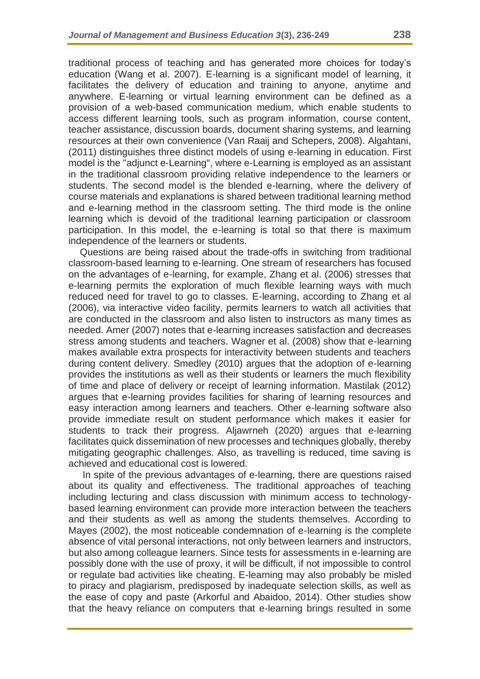traditional process of teaching and has generated more choices for today's education (Wang et al. 2007). E-learning is a significant model of learning, it facilitates the delivery of education and training to anyone, anytime and anywhere. E-learning or virtual learning environment can be defined as a provision of a web-based communication medium, which enable students to access different learning tools, such as program information, course content, teacher assistance, discussion boards, document sharing systems, and learning resources at their own convenience (Van Raaij and Schepers, 2008). Algahtani, (2011) distinguishes three distinct models of using e-learning in education. First model is the "adjunct e-Learning", where e-Learning is employed as an assistant in the traditional classroom providing relative independence to the learners or students. The second model is the blended e-learning, where the delivery of course materials and explanations is shared between traditional learning method and e-learning method in the classroom setting. The third mode is the online learning which is devoid of the traditional learning participation or classroom participation. In this model, the e-learning is total so that there is maximum independence of the learners or students.

Questions are being raised about the trade-offs in switching from traditional classroom-based learning to e-learning. One stream of researchers has focused on the advantages of e-learning, for example, Zhang et al. (2006) stresses that e-learning permits the exploration of much flexible learning ways with much reduced need for travel to go to classes. E-learning, according to Zhang et al (2006), via interactive video facility, permits learners to watch all activities that are conducted in the classroom and also listen to instructors as many times as needed. Amer (2007) notes that e-learning increases satisfaction and decreases stress among students and teachers. Wagner et al. (2008) show that e-learning makes available extra prospects for interactivity between students and teachers during content delivery. Smedley (2010) argues that the adoption of e-learning provides the institutions as well as their students or learners the much flexibility of time and place of delivery or receipt of learning information. Mastilak (2012) argues that e-learning provides facilities for sharing of learning resources and easy interaction among learners and teachers. Other e-learning software also provide immediate result on student performance which makes it easier for students to track their progress. Aljawrneh (2020) argues that e-learning facilitates quick dissemination of new processes and techniques globally, thereby mitigating geographic challenges. Also, as travelling is reduced, time saving is achieved and educational cost is lowered.

In spite of the previous advantages of e-learning, there are questions raised about its quality and effectiveness. The traditional approaches of teaching including lecturing and class discussion with minimum access to technologybased learning environment can provide more interaction between the teachers and their students as well as among the students themselves. According to Mayes (2002), the most noticeable condemnation of e-learning is the complete absence of vital personal interactions, not only between learners and instructors, but also among colleague learners. Since tests for assessments in e-learning are possibly done with the use of proxy, it will be difficult, if not impossible to control or regulate bad activities like cheating. E-learning may also probably be misled to piracy and plagiarism, predisposed by inadequate selection skills, as well as the ease of copy and paste (Arkorful and Abaidoo, 2014). Other studies show that the heavy reliance on computers that e-learning brings resulted in some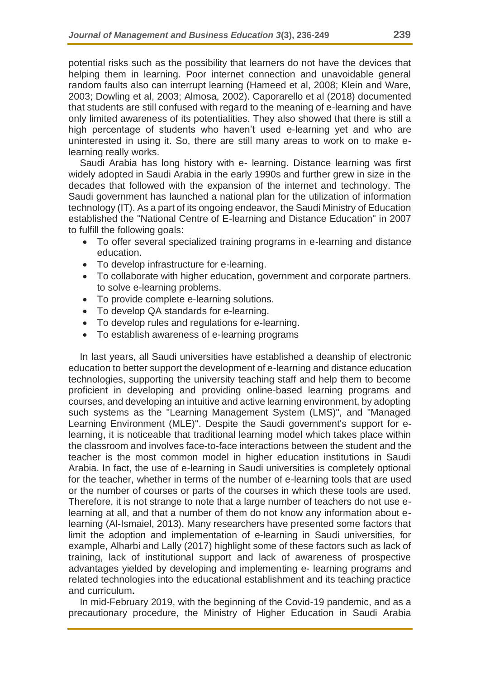potential risks such as the possibility that learners do not have the devices that helping them in learning. Poor internet connection and unavoidable general random faults also can interrupt learning (Hameed et al, 2008; Klein and Ware, 2003; Dowling et al, 2003; Almosa, 2002). Caporarello et al (2018) documented that students are still confused with regard to the meaning of e-learning and have only limited awareness of its potentialities. They also showed that there is still a high percentage of students who haven't used e-learning yet and who are uninterested in using it. So, there are still many areas to work on to make elearning really works.

Saudi Arabia has long history with e- learning. Distance learning was first widely adopted in Saudi Arabia in the early 1990s and further grew in size in the decades that followed with the expansion of the internet and technology. The Saudi government has launched a national plan for the utilization of information technology (IT). As a part of its ongoing endeavor, the Saudi Ministry of Education established the "National Centre of E-learning and Distance Education" in 2007 to fulfill the following goals:

- To offer several specialized training programs in e-learning and distance education.
- To develop infrastructure for e-learning.
- To collaborate with higher education, government and corporate partners. to solve e-learning problems.
- To provide complete e-learning solutions.
- To develop QA standards for e-learning.
- To develop rules and regulations for e-learning.
- To establish awareness of e-learning programs

In last years, all Saudi universities have established a deanship of electronic education to better support the development of e-learning and distance education technologies, supporting the university teaching staff and help them to become proficient in developing and providing online-based learning programs and courses, and developing an intuitive and active learning environment, by adopting such systems as the "Learning Management System (LMS)", and "Managed Learning Environment (MLE)". Despite the Saudi government's support for elearning, it is noticeable that traditional learning model which takes place within the classroom and involves face-to-face interactions between the student and the teacher is the most common model in higher education institutions in Saudi Arabia. In fact, the use of e-learning in Saudi universities is completely optional for the teacher, whether in terms of the number of e-learning tools that are used or the number of courses or parts of the courses in which these tools are used. Therefore, it is not strange to note that a large number of teachers do not use elearning at all, and that a number of them do not know any information about elearning (Al-Ismaiel, 2013). Many researchers have presented some factors that limit the adoption and implementation of e-learning in Saudi universities, for example, Alharbi and Lally (2017) highlight some of these factors such as lack of training, lack of institutional support and lack of awareness of prospective advantages yielded by developing and implementing e- learning programs and related technologies into the educational establishment and its teaching practice and curriculum**.**

In mid-February 2019, with the beginning of the Covid-19 pandemic, and as a precautionary procedure, the Ministry of Higher Education in Saudi Arabia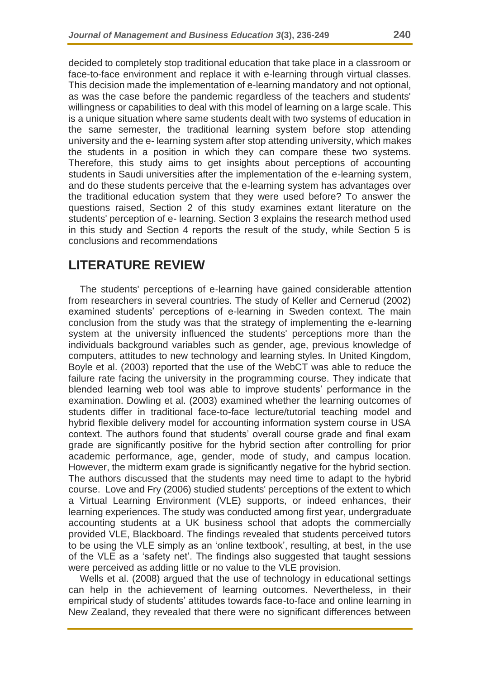decided to completely stop traditional education that take place in a classroom or face-to-face environment and replace it with e-learning through virtual classes. This decision made the implementation of e-learning mandatory and not optional, as was the case before the pandemic regardless of the teachers and students' willingness or capabilities to deal with this model of learning on a large scale. This is a unique situation where same students dealt with two systems of education in the same semester, the traditional learning system before stop attending university and the e- learning system after stop attending university, which makes the students in a position in which they can compare these two systems. Therefore, this study aims to get insights about perceptions of accounting students in Saudi universities after the implementation of the e-learning system, and do these students perceive that the e-learning system has advantages over the traditional education system that they were used before? To answer the questions raised, Section 2 of this study examines extant literature on the students' perception of e- learning. Section 3 explains the research method used in this study and Section 4 reports the result of the study, while Section 5 is conclusions and recommendations

## **LITERATURE REVIEW**

The students' perceptions of e-learning have gained considerable attention from researchers in several countries. The study of Keller and Cernerud (2002) examined students' perceptions of e-learning in Sweden context. The main conclusion from the study was that the strategy of implementing the e-learning system at the university influenced the students' perceptions more than the individuals background variables such as gender, age, previous knowledge of computers, attitudes to new technology and learning styles. In United Kingdom, Boyle et al. (2003) reported that the use of the WebCT was able to reduce the failure rate facing the university in the programming course. They indicate that blended learning web tool was able to improve students' performance in the examination. Dowling et al. (2003) examined whether the learning outcomes of students differ in traditional face-to-face lecture/tutorial teaching model and hybrid flexible delivery model for accounting information system course in USA context. The authors found that students' overall course grade and final exam grade are significantly positive for the hybrid section after controlling for prior academic performance, age, gender, mode of study, and campus location. However, the midterm exam grade is significantly negative for the hybrid section. The authors discussed that the students may need time to adapt to the hybrid course. Love and Fry (2006) studied students' perceptions of the extent to which a Virtual Learning Environment (VLE) supports, or indeed enhances, their learning experiences. The study was conducted among first year, undergraduate accounting students at a UK business school that adopts the commercially provided VLE, Blackboard. The findings revealed that students perceived tutors to be using the VLE simply as an 'online textbook', resulting, at best, in the use of the VLE as a 'safety net'. The findings also suggested that taught sessions were perceived as adding little or no value to the VLE provision.

Wells et al. (2008) argued that the use of technology in educational settings can help in the achievement of learning outcomes. Nevertheless, in their empirical study of students' attitudes towards face-to-face and online learning in New Zealand, they revealed that there were no significant differences between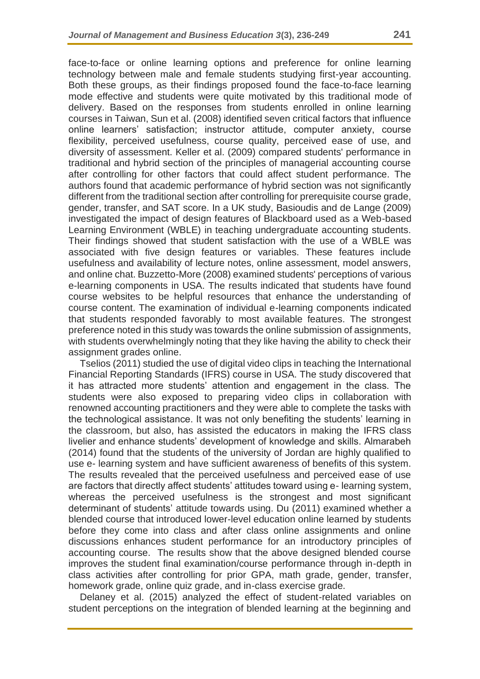face-to-face or online learning options and preference for online learning technology between male and female students studying first-year accounting. Both these groups, as their findings proposed found the face-to-face learning mode effective and students were quite motivated by this traditional mode of delivery. Based on the responses from students enrolled in online learning courses in Taiwan, Sun et al. (2008) identified seven critical factors that influence online learners' satisfaction; instructor attitude, computer anxiety, course flexibility, perceived usefulness, course quality, perceived ease of use, and diversity of assessment. Keller et al. (2009) compared students' performance in traditional and hybrid section of the principles of managerial accounting course after controlling for other factors that could affect student performance. The authors found that academic performance of hybrid section was not significantly different from the traditional section after controlling for prerequisite course grade, gender, transfer, and SAT score. In a UK study, Basioudis and de Lange (2009) investigated the impact of design features of Blackboard used as a Web-based Learning Environment (WBLE) in teaching undergraduate accounting students. Their findings showed that student satisfaction with the use of a WBLE was associated with five design features or variables. These features include usefulness and availability of lecture notes, online assessment, model answers, and online chat. Buzzetto-More (2008) examined students' perceptions of various e-learning components in USA. The results indicated that students have found course websites to be helpful resources that enhance the understanding of course content. The examination of individual e-learning components indicated that students responded favorably to most available features. The strongest preference noted in this study was towards the online submission of assignments, with students overwhelmingly noting that they like having the ability to check their assignment grades online.

Tselios (2011) studied the use of digital video clips in teaching the International Financial Reporting Standards (IFRS) course in USA. The study discovered that it has attracted more students' attention and engagement in the class. The students were also exposed to preparing video clips in collaboration with renowned accounting practitioners and they were able to complete the tasks with the technological assistance. It was not only benefiting the students' learning in the classroom, but also, has assisted the educators in making the IFRS class livelier and enhance students' development of knowledge and skills. Almarabeh (2014) found that the students of the university of Jordan are highly qualified to use e- learning system and have sufficient awareness of benefits of this system. The results revealed that the perceived usefulness and perceived ease of use are factors that directly affect students' attitudes toward using e- learning system, whereas the perceived usefulness is the strongest and most significant determinant of students' attitude towards using. Du (2011) examined whether a blended course that introduced lower-level education online learned by students before they come into class and after class online assignments and online discussions enhances student performance for an introductory principles of accounting course. The results show that the above designed blended course improves the student final examination/course performance through in-depth in class activities after controlling for prior GPA, math grade, gender, transfer, homework grade, online quiz grade, and in-class exercise grade.

Delaney et al. (2015) analyzed the effect of student-related variables on student perceptions on the integration of blended learning at the beginning and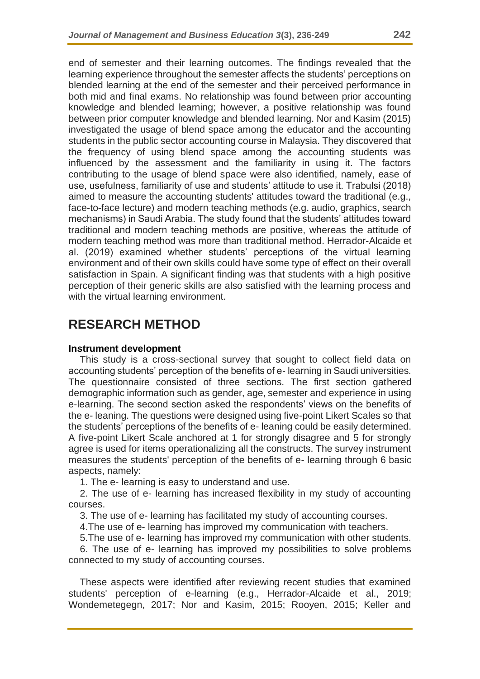end of semester and their learning outcomes. The findings revealed that the learning experience throughout the semester affects the students' perceptions on blended learning at the end of the semester and their perceived performance in both mid and final exams. No relationship was found between prior accounting knowledge and blended learning; however, a positive relationship was found between prior computer knowledge and blended learning. Nor and Kasim (2015) investigated the usage of blend space among the educator and the accounting students in the public sector accounting course in Malaysia. They discovered that the frequency of using blend space among the accounting students was influenced by the assessment and the familiarity in using it. The factors contributing to the usage of blend space were also identified, namely, ease of use, usefulness, familiarity of use and students' attitude to use it. Trabulsi (2018) aimed to measure the accounting students' attitudes toward the traditional (e.g., face-to-face lecture) and modern teaching methods (e.g. audio, graphics, search mechanisms) in Saudi Arabia. The study found that the students' attitudes toward traditional and modern teaching methods are positive, whereas the attitude of modern teaching method was more than traditional method. Herrador-Alcaide et al. (2019) examined whether students' perceptions of the virtual learning environment and of their own skills could have some type of effect on their overall satisfaction in Spain. A significant finding was that students with a high positive perception of their generic skills are also satisfied with the learning process and with the virtual learning environment.

# **RESEARCH METHOD**

#### **Instrument development**

This study is a cross-sectional survey that sought to collect field data on accounting students' perception of the benefits of e- learning in Saudi universities. The questionnaire consisted of three sections. The first section gathered demographic information such as gender, age, semester and experience in using e-learning. The second section asked the respondents' views on the benefits of the e- leaning. The questions were designed using five-point Likert Scales so that the students' perceptions of the benefits of e- leaning could be easily determined. A five-point Likert Scale anchored at 1 for strongly disagree and 5 for strongly agree is used for items operationalizing all the constructs. The survey instrument measures the students' perception of the benefits of e- learning through 6 basic aspects, namely:

1. The e- learning is easy to understand and use.

2. The use of e- learning has increased flexibility in my study of accounting courses.

3. The use of e- learning has facilitated my study of accounting courses.

4.The use of e- learning has improved my communication with teachers.

5.The use of e- learning has improved my communication with other students.

6. The use of e- learning has improved my possibilities to solve problems connected to my study of accounting courses.

These aspects were identified after reviewing recent studies that examined students' perception of e-learning (e.g., Herrador-Alcaide et al., 2019; Wondemetegegn, 2017; Nor and Kasim, 2015; Rooyen, 2015; Keller and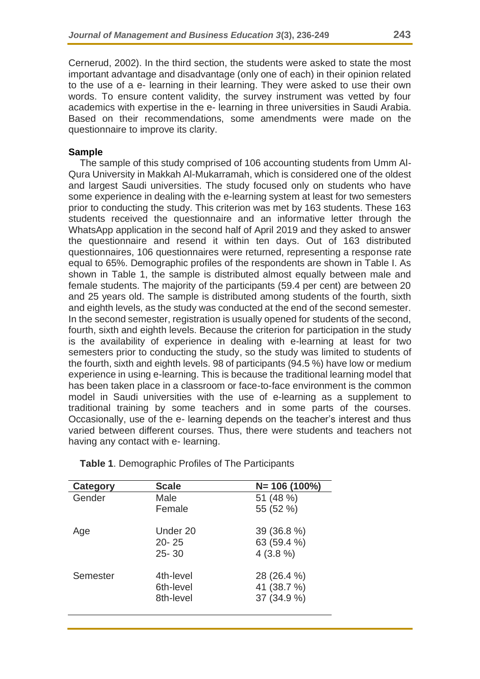Cernerud, 2002). In the third section, the students were asked to state the most important advantage and disadvantage (only one of each) in their opinion related to the use of a e- learning in their learning. They were asked to use their own words. To ensure content validity, the survey instrument was vetted by four academics with expertise in the e- learning in three universities in Saudi Arabia. Based on their recommendations, some amendments were made on the questionnaire to improve its clarity.

### **Sample**

The sample of this study comprised of 106 accounting students from Umm Al-Qura University in Makkah Al-Mukarramah, which is considered one of the oldest and largest Saudi universities. The study focused only on students who have some experience in dealing with the e-learning system at least for two semesters prior to conducting the study. This criterion was met by 163 students. These 163 students received the questionnaire and an informative letter through the WhatsApp application in the second half of April 2019 and they asked to answer the questionnaire and resend it within ten days. Out of 163 distributed questionnaires, 106 questionnaires were returned, representing a response rate equal to 65%. Demographic profiles of the respondents are shown in Table I. As shown in Table 1, the sample is distributed almost equally between male and female students. The majority of the participants (59.4 per cent) are between 20 and 25 years old. The sample is distributed among students of the fourth, sixth and eighth levels, as the study was conducted at the end of the second semester. In the second semester, registration is usually opened for students of the second, fourth, sixth and eighth levels. Because the criterion for participation in the study is the availability of experience in dealing with e-learning at least for two semesters prior to conducting the study, so the study was limited to students of the fourth, sixth and eighth levels. 98 of participants (94.5 %) have low or medium experience in using e-learning. This is because the traditional learning model that has been taken place in a classroom or face-to-face environment is the common model in Saudi universities with the use of e-learning as a supplement to traditional training by some teachers and in some parts of the courses. Occasionally, use of the e- learning depends on the teacher's interest and thus varied between different courses. Thus, there were students and teachers not having any contact with e- learning.

| <b>Category</b> | <b>Scale</b> | $N = 106(100\%)$ |
|-----------------|--------------|------------------|
| Gender          | Male         | 51 (48 %)        |
|                 | Female       | 55 (52 %)        |
| Age             | Under 20     | 39 (36.8 %)      |
|                 | $20 - 25$    | 63 (59.4 %)      |
|                 | $25 - 30$    | $4(3.8\%)$       |
| Semester        | 4th-level    | 28 (26.4 %)      |
|                 | 6th-level    | 41 (38.7 %)      |
|                 | 8th-level    | 37 (34.9 %)      |

**Table 1**. Demographic Profiles of The Participants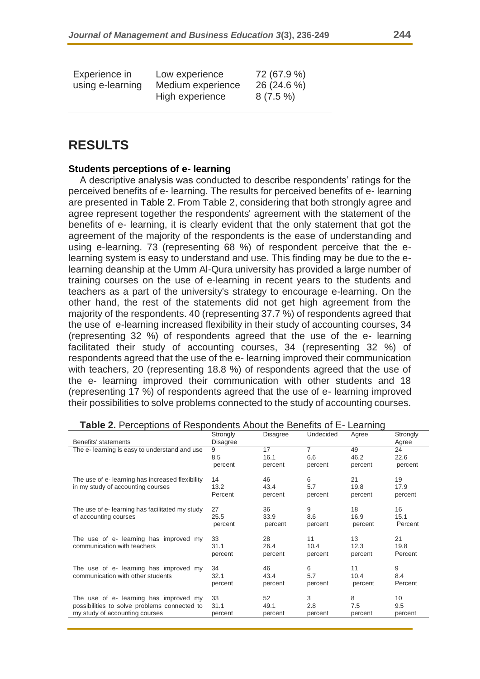| Experience in    | Low experience    | 72 (67.9 %) |
|------------------|-------------------|-------------|
| using e-learning | Medium experience | 26 (24.6 %) |
|                  | High experience   | $8(7.5\%)$  |

## **RESULTS**

#### **Students perceptions of e- learning**

A descriptive analysis was conducted to describe respondents' ratings for the perceived benefits of e- learning. The results for perceived benefits of e- learning are presented in Table 2. From Table 2, considering that both strongly agree and agree represent together the respondents' agreement with the statement of the benefits of e- learning, it is clearly evident that the only statement that got the agreement of the majority of the respondents is the ease of understanding and using e-learning. 73 (representing 68 %) of respondent perceive that the elearning system is easy to understand and use. This finding may be due to the elearning deanship at the Umm Al-Qura university has provided a large number of training courses on the use of e-learning in recent years to the students and teachers as a part of the university's strategy to encourage e-learning. On the other hand, the rest of the statements did not get high agreement from the majority of the respondents. 40 (representing 37.7 %) of respondents agreed that the use of e-learning increased flexibility in their study of accounting courses, 34 (representing 32 %) of respondents agreed that the use of the e- learning facilitated their study of accounting courses, 34 (representing 32 %) of respondents agreed that the use of the e- learning improved their communication with teachers, 20 (representing 18.8 %) of respondents agreed that the use of the e- learning improved their communication with other students and 18 (representing 17 %) of respondents agreed that the use of e- learning improved their possibilities to solve problems connected to the study of accounting courses.

| <b>Table 2.</b> Felceptions of Respondents About the Benefits of E- Learning |                 |                 |                |         |          |  |
|------------------------------------------------------------------------------|-----------------|-----------------|----------------|---------|----------|--|
|                                                                              | Strongly        | <b>Disagree</b> | Undecided      | Agree   | Strongly |  |
| Benefits' statements                                                         | <b>Disagree</b> |                 |                |         | Agree    |  |
| The e-learning is easy to understand and use                                 | 9               | 17              | $\overline{7}$ | 49      | 24       |  |
|                                                                              | 8.5             | 16.1            | 6.6            | 46.2    | 22.6     |  |
|                                                                              | percent         | percent         | percent        | percent | percent  |  |
| The use of e-learning has increased flexibility                              | 14              | 46              | 6              | 21      | 19       |  |
| in my study of accounting courses                                            | 13.2            | 43.4            | 5.7            | 19.8    | 17.9     |  |
|                                                                              | Percent         | percent         | percent        | percent | percent  |  |
| The use of e-learning has facilitated my study                               | 27              | 36              | 9              | 18      | 16       |  |
| of accounting courses                                                        | 25.5            | 33.9            | 8.6            | 16.9    | 15.1     |  |
|                                                                              | percent         | percent         | percent        | percent | Percent  |  |
| The use of e- learning has improved my                                       | 33              | 28              | 11             | 13      | 21       |  |
| communication with teachers                                                  | 31.1            | 26.4            | 10.4           | 12.3    | 19.8     |  |
|                                                                              | percent         | percent         | percent        | percent | Percent  |  |
| The use of e- learning has improved my                                       | 34              | 46              | 6              | 11      | 9        |  |
| communication with other students                                            | 32.1            | 43.4            | 5.7            | 10.4    | 8.4      |  |
|                                                                              | percent         | percent         | percent        | percent | Percent  |  |
| The use of e- learning has improved my                                       | 33              | 52              | 3              | 8       | 10       |  |
| possibilities to solve problems connected to                                 | 31.1            | 49.1            | 2.8            | 7.5     | 9.5      |  |
| my study of accounting courses                                               | percent         | percent         | percent        | percent | percent  |  |
|                                                                              |                 |                 |                |         |          |  |

#### **Table 2.** Perceptions of Respondents About the Benefits of E- Learning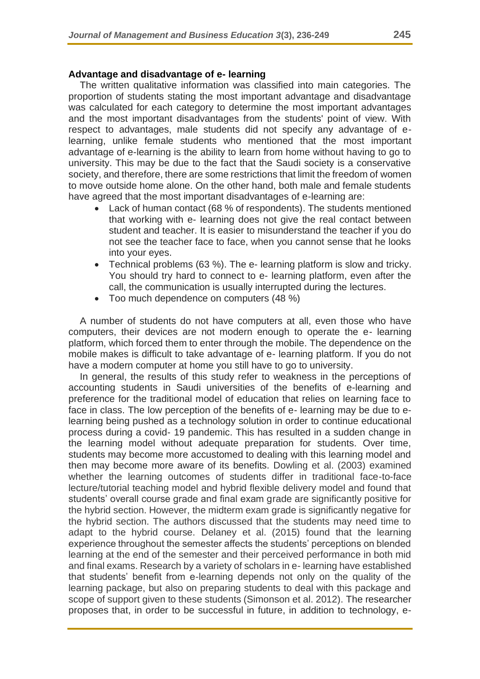#### **Advantage and disadvantage of e- learning**

The written qualitative information was classified into main categories. The proportion of students stating the most important advantage and disadvantage was calculated for each category to determine the most important advantages and the most important disadvantages from the students' point of view. With respect to advantages, male students did not specify any advantage of elearning, unlike female students who mentioned that the most important advantage of e-learning is the ability to learn from home without having to go to university. This may be due to the fact that the Saudi society is a conservative society, and therefore, there are some restrictions that limit the freedom of women to move outside home alone. On the other hand, both male and female students have agreed that the most important disadvantages of e-learning are:

- Lack of human contact (68 % of respondents). The students mentioned that working with e- learning does not give the real contact between student and teacher. It is easier to misunderstand the teacher if you do not see the teacher face to face, when you cannot sense that he looks into your eyes.
- Technical problems (63 %). The e- learning platform is slow and tricky. You should try hard to connect to e- learning platform, even after the call, the communication is usually interrupted during the lectures.
- Too much dependence on computers (48 %)

A number of students do not have computers at all, even those who have computers, their devices are not modern enough to operate the e- learning platform, which forced them to enter through the mobile. The dependence on the mobile makes is difficult to take advantage of e- learning platform. If you do not have a modern computer at home you still have to go to university.

In general, the results of this study refer to weakness in the perceptions of accounting students in Saudi universities of the benefits of e-learning and preference for the traditional model of education that relies on learning face to face in class. The low perception of the benefits of e- learning may be due to elearning being pushed as a technology solution in order to continue educational process during a covid- 19 pandemic. This has resulted in a sudden change in the learning model without adequate preparation for students. Over time, students may become more accustomed to dealing with this learning model and then may become more aware of its benefits. Dowling et al. (2003) examined whether the learning outcomes of students differ in traditional face-to-face lecture/tutorial teaching model and hybrid flexible delivery model and found that students' overall course grade and final exam grade are significantly positive for the hybrid section. However, the midterm exam grade is significantly negative for the hybrid section. The authors discussed that the students may need time to adapt to the hybrid course. Delaney et al. (2015) found that the learning experience throughout the semester affects the students' perceptions on blended learning at the end of the semester and their perceived performance in both mid and final exams. Research by a variety of scholars in e- learning have established that students' benefit from e-learning depends not only on the quality of the learning package, but also on preparing students to deal with this package and scope of support given to these students (Simonson et al. 2012). The researcher proposes that, in order to be successful in future, in addition to technology, e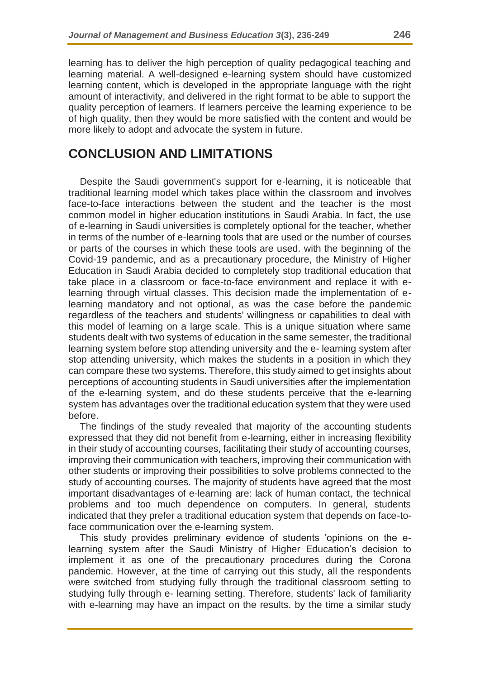learning has to deliver the high perception of quality pedagogical teaching and learning material. A well-designed e-learning system should have customized learning content, which is developed in the appropriate language with the right amount of interactivity, and delivered in the right format to be able to support the quality perception of learners. If learners perceive the learning experience to be of high quality, then they would be more satisfied with the content and would be more likely to adopt and advocate the system in future.

# **CONCLUSION AND LIMITATIONS**

Despite the Saudi government's support for e-learning, it is noticeable that traditional learning model which takes place within the classroom and involves face-to-face interactions between the student and the teacher is the most common model in higher education institutions in Saudi Arabia. In fact, the use of e-learning in Saudi universities is completely optional for the teacher, whether in terms of the number of e-learning tools that are used or the number of courses or parts of the courses in which these tools are used. with the beginning of the Covid-19 pandemic, and as a precautionary procedure, the Ministry of Higher Education in Saudi Arabia decided to completely stop traditional education that take place in a classroom or face-to-face environment and replace it with elearning through virtual classes. This decision made the implementation of elearning mandatory and not optional, as was the case before the pandemic regardless of the teachers and students' willingness or capabilities to deal with this model of learning on a large scale. This is a unique situation where same students dealt with two systems of education in the same semester, the traditional learning system before stop attending university and the e- learning system after stop attending university, which makes the students in a position in which they can compare these two systems. Therefore, this study aimed to get insights about perceptions of accounting students in Saudi universities after the implementation of the e-learning system, and do these students perceive that the e-learning system has advantages over the traditional education system that they were used before.

The findings of the study revealed that majority of the accounting students expressed that they did not benefit from e-learning, either in increasing flexibility in their study of accounting courses, facilitating their study of accounting courses, improving their communication with teachers, improving their communication with other students or improving their possibilities to solve problems connected to the study of accounting courses. The majority of students have agreed that the most important disadvantages of e-learning are: lack of human contact, the technical problems and too much dependence on computers. In general, students indicated that they prefer a traditional education system that depends on face-toface communication over the e-learning system.

This study provides preliminary evidence of students 'opinions on the elearning system after the Saudi Ministry of Higher Education's decision to implement it as one of the precautionary procedures during the Corona pandemic. However, at the time of carrying out this study, all the respondents were switched from studying fully through the traditional classroom setting to studying fully through e- learning setting. Therefore, students' lack of familiarity with e-learning may have an impact on the results. by the time a similar study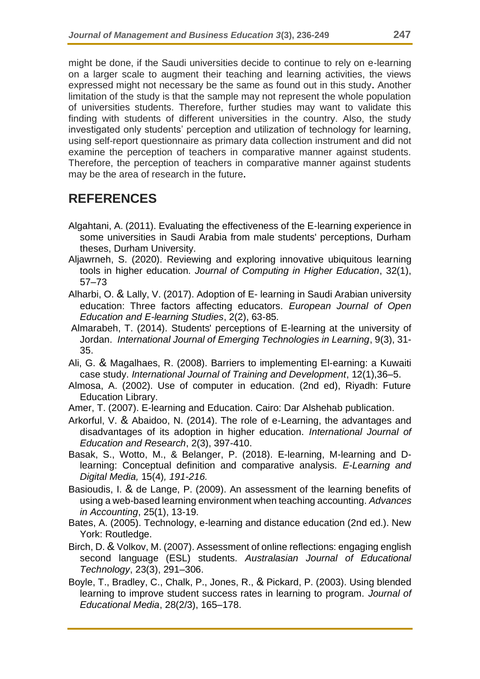might be done, if the Saudi universities decide to continue to rely on e-learning on a larger scale to augment their teaching and learning activities, the views expressed might not necessary be the same as found out in this study, Another limitation of the study is that the sample may not represent the whole population of universities students. Therefore, further studies may want to validate this finding with students of different universities in the country. Also, the study investigated only students' perception and utilization of technology for learning, using self-report questionnaire as primary data collection instrument and did not examine the perception of teachers in comparative manner against students. Therefore, the perception of teachers in comparative manner against students may be the area of research in the future.

# **REFERENCES**

- Algahtani, A. (2011). Evaluating the effectiveness of the E-learning experience in some universities in Saudi Arabia from male students' perceptions, Durham theses, Durham University.
- Aljawrneh, S. (2020). Reviewing and exploring innovative ubiquitous learning tools in higher education. *Journal of Computing in Higher Education*, 32(1), 57–73
- Alharbi, O. & Lally, V. (2017). Adoption of E- learning in Saudi Arabian university education: Three factors affecting educators. *European Journal of Open Education and E-learning Studies*, 2(2), 63-85.
- Almarabeh, T. (2014). Students' perceptions of E-learning at the university of Jordan. *International Journal of Emerging Technologies in Learning*, 9(3), 31- 35.
- Ali, G. & Magalhaes, R. (2008). Barriers to implementing El-earning: a Kuwaiti case study. *International Journal of Training and Development*, 12(1),36–5.
- Almosa, A. (2002). Use of computer in education. (2nd ed), Riyadh: Future Education Library .
- Amer, T. (2007). E-learning and Education. Cairo: Dar Alshehab publication.
- Arkorful, V. & Abaidoo, N. (2014). The role of e-Learning, the advantages and disadvantages of its adoption in higher education. *International Journal of Education and Research*, 2(3), 397-410.
- Basak, S., Wotto, M., & Belanger, P. (2018). E-learning, M-learning and Dlearning: Conceptual definition and comparative analysis. *E-Learning and Digital Media,* 15(4)*, 191-216.*
- Basioudis, I. & de Lange, P. (2009). An assessment of the learning benefits of using a web-based learning environment when teaching accounting. *Advances in Accounting*, 25(1), 13-19 .
- Bates, A. (2005). Technology, e-learning and distance education (2nd ed.). New York: Routledge.
- Birch, D. & Volkov, M. (2007). Assessment of online reflections: engaging english second language (ESL) students. *Australasian Journal of Educational Technology*, 23(3), 291–306.
- Boyle, T., Bradley, C., Chalk, P., Jones, R., & Pickard, P. (2003). Using blended learning to improve student success rates in learning to program. *Journal of Educational Media*, 28(2/3), 165–178.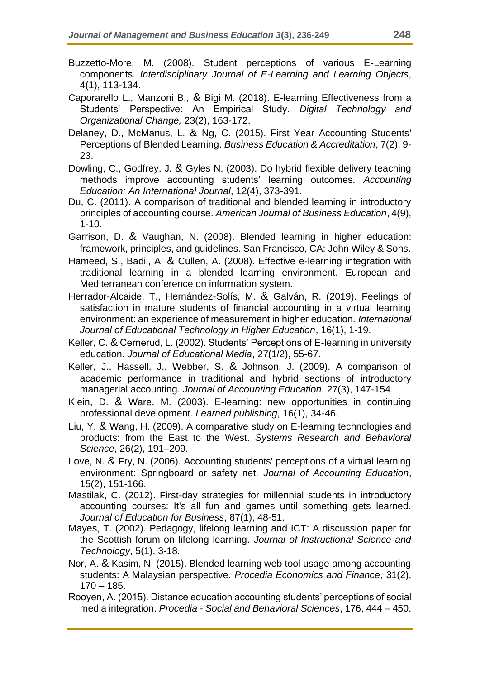- Buzzetto-More, M. (2008). Student perceptions of various E-Learning components. *Interdisciplinary Journal of E-Learning and Learning Objects*, 4(1), 113-134.
- Caporarello L., Manzoni B., & Bigi M. (2018). E-learning Effectiveness from a Students' Perspective: An Empirical Study. *Digital Technology and Organizational Change,* 23(2), 163-172.
- Delaney, D., McManus, L. & Ng, C. (2015). First Year Accounting Students' Perceptions of Blended Learning. *Business Education & Accreditation*, 7(2), 9- 23.
- Dowling, C., Godfrey, J. & Gyles N. (2003). Do hybrid flexible delivery teaching methods improve accounting students' learning outcomes. *Accounting Education: An International Journal*, 12(4), 373-391 .
- Du, C. (2011). A comparison of traditional and blended learning in introductory principles of accounting course. *American Journal of Business Education*, 4(9), 1-10.
- Garrison, D. & Vaughan, N. (2008). Blended learning in higher education: framework, principles, and guidelines. San Francisco, CA: John Wiley & Sons.
- Hameed, S., Badii, A. & Cullen, A. (2008). Effective e-learning integration with traditional learning in a blended learning environment. European and Mediterranean conference on information system.
- Herrador-Alcaide, T., Hernández-Solís, M. & Galván, R. (2019). Feelings of satisfaction in mature students of financial accounting in a virtual learning environment: an experience of measurement in higher education. *International Journal of Educational Technology in Higher Education*, 16(1), 1-19.
- Keller, C. & Cernerud, L. (2002). Students' Perceptions of E-learning in university education. *Journal of Educational Media*, 27(1/2), 55-67.
- Keller, J., Hassell, J., Webber, S. & Johnson, J. (2009). A comparison of academic performance in traditional and hybrid sections of introductory managerial accounting. *Journal of Accounting Education*, 27(3), 147-154 .
- Klein, D. & Ware, M. (2003). E-learning: new opportunities in continuing professional development. *Learned publishing*, 16(1), 34-46 .
- Liu, Y. & Wang, H. (2009). A comparative study on E-learning technologies and products: from the East to the West. *Systems Research and Behavioral Science*, 26(2), 191–209 .
- Love, N. & Fry, N. (2006). Accounting students' perceptions of a virtual learning environment: Springboard or safety net. *Journal of [Accounting Education](https://www.tandfonline.com/toc/raed20/current)*, 15(2), 151-166.
- Mastilak, C. (2012). First-day strategies for millennial students in introductory accounting courses: It's all fun and games until something gets learned. *Journal of Education for Business*, 87(1), 48-51.
- Mayes, T. (2002). Pedagogy, lifelong learning and ICT: A discussion paper for the Scottish forum on lifelong learning. *Journal of Instructional Science and Technology*, 5(1), 3-18.
- Nor, A. & Kasim, N. (2015). Blended learning web tool usage among accounting students: A Malaysian perspective. *Procedia Economics and Finance*, 31(2), 170 – 185.
- Rooyen, A. (2015). Distance education accounting students' perceptions of social media integration. *Procedia - Social and Behavioral Sciences*, 176, 444 – 450.